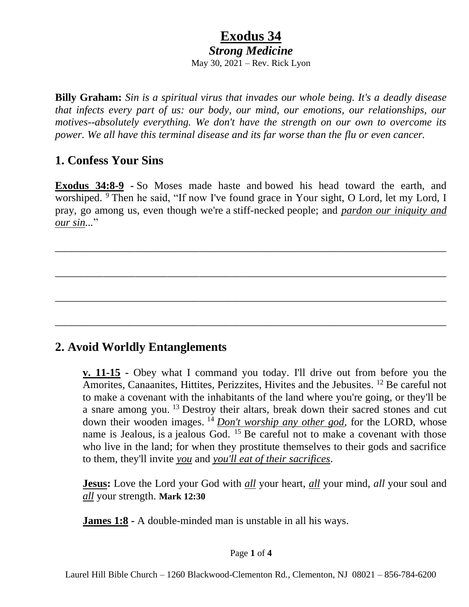# **Exodus 34**

*Strong Medicine*

May 30, 2021 – Rev. Rick Lyon

**Billy Graham:** *Sin is a spiritual virus that invades our whole being. It's a deadly disease that infects every part of us: our body, our mind, our emotions, our relationships, our motives--absolutely everything. We don't have the strength on our own to overcome its power. We all have this terminal disease and its far worse than the flu or even cancer.*

#### **1. Confess Your Sins**

**Exodus 34:8-9 -** So Moses made haste and bowed his head toward the earth, and worshiped. <sup>9</sup> Then he said, "If now I've found grace in Your sight, O Lord, let my Lord, I pray, go among us, even though we're a stiff-necked people; and *pardon our iniquity and our sin...*"

\_\_\_\_\_\_\_\_\_\_\_\_\_\_\_\_\_\_\_\_\_\_\_\_\_\_\_\_\_\_\_\_\_\_\_\_\_\_\_\_\_\_\_\_\_\_\_\_\_\_\_\_\_\_\_\_\_\_\_\_\_\_\_\_\_\_\_\_\_\_\_\_\_

\_\_\_\_\_\_\_\_\_\_\_\_\_\_\_\_\_\_\_\_\_\_\_\_\_\_\_\_\_\_\_\_\_\_\_\_\_\_\_\_\_\_\_\_\_\_\_\_\_\_\_\_\_\_\_\_\_\_\_\_\_\_\_\_\_\_\_\_\_\_\_\_\_

\_\_\_\_\_\_\_\_\_\_\_\_\_\_\_\_\_\_\_\_\_\_\_\_\_\_\_\_\_\_\_\_\_\_\_\_\_\_\_\_\_\_\_\_\_\_\_\_\_\_\_\_\_\_\_\_\_\_\_\_\_\_\_\_\_\_\_\_\_\_\_\_\_

\_\_\_\_\_\_\_\_\_\_\_\_\_\_\_\_\_\_\_\_\_\_\_\_\_\_\_\_\_\_\_\_\_\_\_\_\_\_\_\_\_\_\_\_\_\_\_\_\_\_\_\_\_\_\_\_\_\_\_\_\_\_\_\_\_\_\_\_\_\_\_\_\_

#### **2. Avoid Worldly Entanglements**

**v. 11-15 -** Obey what I command you today. I'll drive out from before you the Amorites, Canaanites, Hittites, Perizzites, Hivites and the Jebusites. <sup>12</sup> Be careful not to make a covenant with the inhabitants of the land where you're going, or they'll be a snare among you.<sup>13</sup> Destroy their altars, break down their sacred stones and cut down their wooden images. <sup>14</sup> *Don't worship any other god*, for the LORD, whose name is Jealous, is a jealous God. <sup>15</sup> Be careful not to make a covenant with those who live in the land; for when they prostitute themselves to their gods and sacrifice to them, they'll invite *you* and *you'll eat of their sacrifices*.

**Jesus:** Love the Lord your God with *all* your heart, *all* your mind, *all* your soul and *all* your strength. **Mark 12:30**

**James 1:8 -** A double-minded man is unstable in all his ways.

#### Page **1** of **4**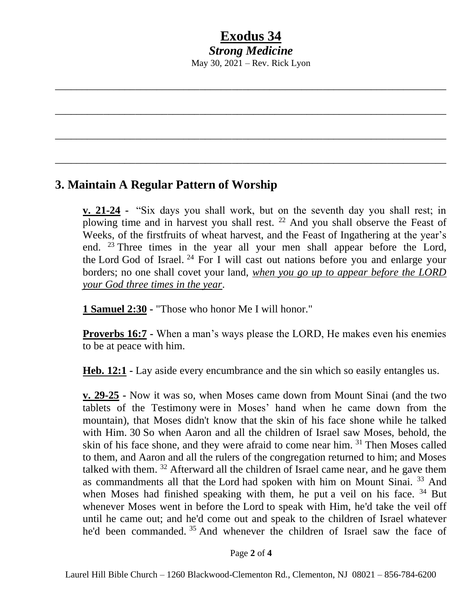### **Exodus 34** *Strong Medicine*

May 30, 2021 – Rev. Rick Lyon

\_\_\_\_\_\_\_\_\_\_\_\_\_\_\_\_\_\_\_\_\_\_\_\_\_\_\_\_\_\_\_\_\_\_\_\_\_\_\_\_\_\_\_\_\_\_\_\_\_\_\_\_\_\_\_\_\_\_\_\_\_\_\_\_\_\_\_\_\_\_\_\_\_

\_\_\_\_\_\_\_\_\_\_\_\_\_\_\_\_\_\_\_\_\_\_\_\_\_\_\_\_\_\_\_\_\_\_\_\_\_\_\_\_\_\_\_\_\_\_\_\_\_\_\_\_\_\_\_\_\_\_\_\_\_\_\_\_\_\_\_\_\_\_\_\_\_

\_\_\_\_\_\_\_\_\_\_\_\_\_\_\_\_\_\_\_\_\_\_\_\_\_\_\_\_\_\_\_\_\_\_\_\_\_\_\_\_\_\_\_\_\_\_\_\_\_\_\_\_\_\_\_\_\_\_\_\_\_\_\_\_\_\_\_\_\_\_\_\_\_

\_\_\_\_\_\_\_\_\_\_\_\_\_\_\_\_\_\_\_\_\_\_\_\_\_\_\_\_\_\_\_\_\_\_\_\_\_\_\_\_\_\_\_\_\_\_\_\_\_\_\_\_\_\_\_\_\_\_\_\_\_\_\_\_\_\_\_\_\_\_\_\_\_

#### **3. Maintain A Regular Pattern of Worship**

**v. 21-24 -** "Six days you shall work, but on the seventh day you shall rest; in plowing time and in harvest you shall rest.  $22$  And you shall observe the Feast of Weeks, of the firstfruits of wheat harvest, and the Feast of Ingathering at the year's end. <sup>23</sup> Three times in the year all your men shall appear before the Lord, the Lord God of Israel.<sup>24</sup> For I will cast out nations before you and enlarge your borders; no one shall covet your land, *when you go up to appear before the LORD your God three times in the year*.

**1 Samuel 2:30 -** "Those who honor Me I will honor."

**Proverbs 16:7 -** When a man's ways please the LORD, He makes even his enemies to be at peace with him.

**Heb. 12:1 -** Lay aside every encumbrance and the sin which so easily entangles us.

**v. 29-25 -** Now it was so, when Moses came down from Mount Sinai (and the two tablets of the Testimony were in Moses' hand when he came down from the mountain), that Moses didn't know that the skin of his face shone while he talked with Him. 30 So when Aaron and all the children of Israel saw Moses, behold, the skin of his face shone, and they were afraid to come near him. <sup>31</sup> Then Moses called to them, and Aaron and all the rulers of the congregation returned to him; and Moses talked with them. <sup>32</sup> Afterward all the children of Israel came near, and he gave them as commandments all that the Lord had spoken with him on Mount Sinai.<sup>33</sup> And when Moses had finished speaking with them, he put a veil on his face.  $34$  But whenever Moses went in before the Lord to speak with Him, he'd take the veil off until he came out; and he'd come out and speak to the children of Israel whatever he'd been commanded. <sup>35</sup> And whenever the children of Israel saw the face of

Page **2** of **4**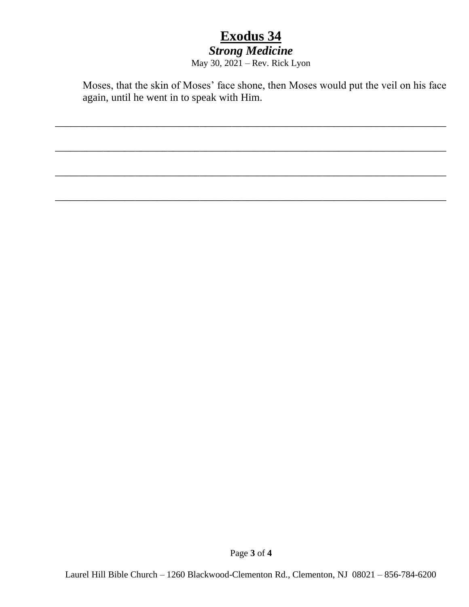# **Exodus 34**

## *Strong Medicine*

May 30, 2021 – Rev. Rick Lyon

\_\_\_\_\_\_\_\_\_\_\_\_\_\_\_\_\_\_\_\_\_\_\_\_\_\_\_\_\_\_\_\_\_\_\_\_\_\_\_\_\_\_\_\_\_\_\_\_\_\_\_\_\_\_\_\_\_\_\_\_\_\_\_\_\_\_\_\_\_\_\_\_\_

\_\_\_\_\_\_\_\_\_\_\_\_\_\_\_\_\_\_\_\_\_\_\_\_\_\_\_\_\_\_\_\_\_\_\_\_\_\_\_\_\_\_\_\_\_\_\_\_\_\_\_\_\_\_\_\_\_\_\_\_\_\_\_\_\_\_\_\_\_\_\_\_\_

\_\_\_\_\_\_\_\_\_\_\_\_\_\_\_\_\_\_\_\_\_\_\_\_\_\_\_\_\_\_\_\_\_\_\_\_\_\_\_\_\_\_\_\_\_\_\_\_\_\_\_\_\_\_\_\_\_\_\_\_\_\_\_\_\_\_\_\_\_\_\_\_\_

\_\_\_\_\_\_\_\_\_\_\_\_\_\_\_\_\_\_\_\_\_\_\_\_\_\_\_\_\_\_\_\_\_\_\_\_\_\_\_\_\_\_\_\_\_\_\_\_\_\_\_\_\_\_\_\_\_\_\_\_\_\_\_\_\_\_\_\_\_\_\_\_\_

Moses, that the skin of Moses' face shone, then Moses would put the veil on his face again, until he went in to speak with Him.

Page **3** of **4**